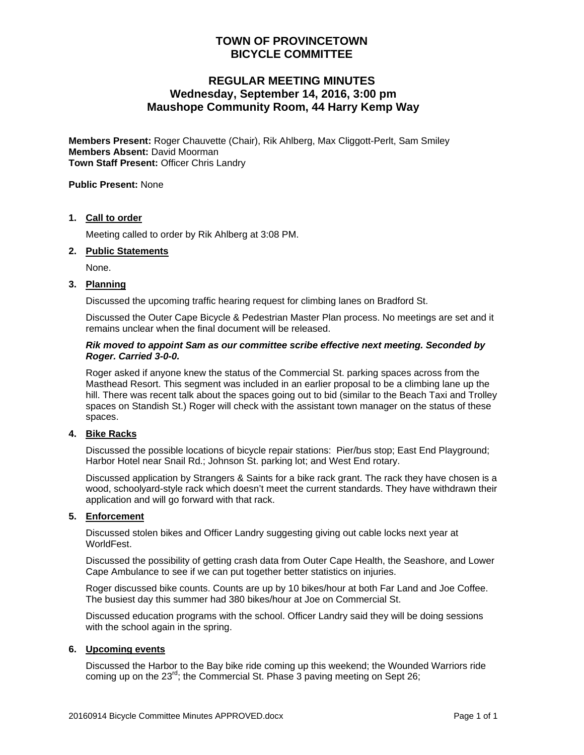## **TOWN OF PROVINCETOWN BICYCLE COMMITTEE**

# **REGULAR MEETING MINUTES Wednesday, September 14, 2016, 3:00 pm Maushope Community Room, 44 Harry Kemp Way**

**Members Present:** Roger Chauvette (Chair), Rik Ahlberg, Max Cliggott-Perlt, Sam Smiley **Members Absent:** David Moorman **Town Staff Present:** Officer Chris Landry

**Public Present:** None

#### **1. Call to order**

Meeting called to order by Rik Ahlberg at 3:08 PM.

### **2. Public Statements**

None.

#### **3. Planning**

Discussed the upcoming traffic hearing request for climbing lanes on Bradford St.

Discussed the Outer Cape Bicycle & Pedestrian Master Plan process. No meetings are set and it remains unclear when the final document will be released.

#### *Rik moved to appoint Sam as our committee scribe effective next meeting. Seconded by Roger. Carried 3-0-0.*

Roger asked if anyone knew the status of the Commercial St. parking spaces across from the Masthead Resort. This segment was included in an earlier proposal to be a climbing lane up the hill. There was recent talk about the spaces going out to bid (similar to the Beach Taxi and Trolley spaces on Standish St.) Roger will check with the assistant town manager on the status of these spaces.

### **4. Bike Racks**

Discussed the possible locations of bicycle repair stations: Pier/bus stop; East End Playground; Harbor Hotel near Snail Rd.; Johnson St. parking lot; and West End rotary.

Discussed application by Strangers & Saints for a bike rack grant. The rack they have chosen is a wood, schoolyard-style rack which doesn't meet the current standards. They have withdrawn their application and will go forward with that rack.

### **5. Enforcement**

Discussed stolen bikes and Officer Landry suggesting giving out cable locks next year at WorldFest.

Discussed the possibility of getting crash data from Outer Cape Health, the Seashore, and Lower Cape Ambulance to see if we can put together better statistics on injuries.

Roger discussed bike counts. Counts are up by 10 bikes/hour at both Far Land and Joe Coffee. The busiest day this summer had 380 bikes/hour at Joe on Commercial St.

Discussed education programs with the school. Officer Landry said they will be doing sessions with the school again in the spring.

#### **6. Upcoming events**

Discussed the Harbor to the Bay bike ride coming up this weekend; the Wounded Warriors ride coming up on the 23<sup>rd</sup>; the Commercial St. Phase 3 paving meeting on Sept 26;